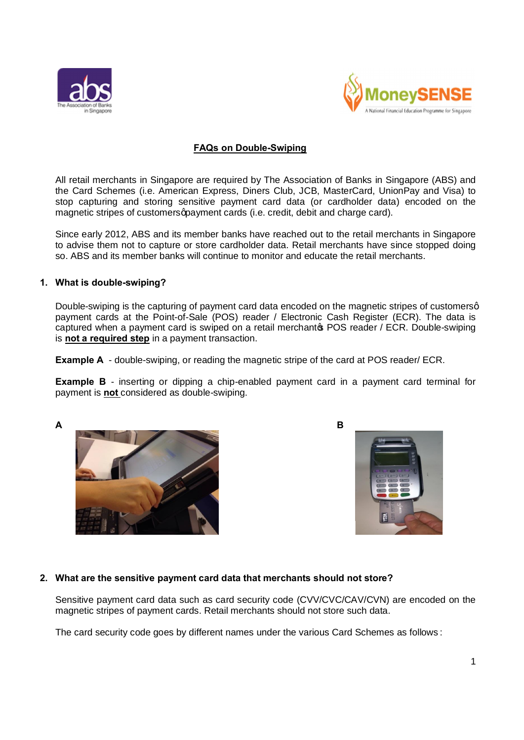



# **FAQs on Double-Swiping**

All retail merchants in Singapore are required by The Association of Banks in Singapore (ABS) and the Card Schemes (i.e. American Express, Diners Club, JCB, MasterCard, UnionPay and Visa) to stop capturing and storing sensitive payment card data (or cardholder data) encoded on the magnetic stripes of customers apayment cards (i.e. credit, debit and charge card).

Since early 2012, ABS and its member banks have reached out to the retail merchants in Singapore to advise them not to capture or store cardholder data. Retail merchants have since stopped doing so. ABS and its member banks will continue to monitor and educate the retail merchants.

### **1. What is double-swiping?**

Double-swiping is the capturing of payment card data encoded on the magnetic stripes of customersq payment cards at the Point-of-Sale (POS) reader / Electronic Cash Register (ECR). The data is captured when a payment card is swiped on a retail merchantos POS reader / ECR. Double-swiping is **not a required step** in a payment transaction.

**Example A** - double-swiping, or reading the magnetic stripe of the card at POS reader/ ECR.

**Example B** - inserting or dipping a chip-enabled payment card in a payment card terminal for payment is **not** considered as double-swiping.







# **2. What are the sensitive payment card data that merchants should not store?**

Sensitive payment card data such as card security code (CVV/CVC/CAV/CVN) are encoded on the magnetic stripes of payment cards. Retail merchants should not store such data.

The card security code goes by different names under the various Card Schemes as follows :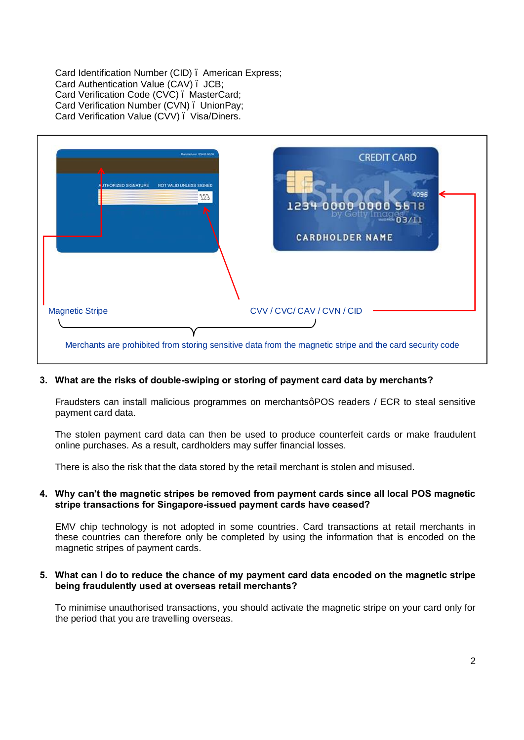Card Identification Number (CID) – American Express; Card Authentication Value (CAV) – JCB; Card Verification Code (CVC) – MasterCard; Card Verification Number (CVN) – UnionPay; Card Verification Value (CVV) – Visa/Diners.



### **3. What are the risks of double-swiping or storing of payment card data by merchants?**

Fraudsters can install malicious programmes on merchantsg POS readers / ECR to steal sensitive payment card data.

The stolen payment card data can then be used to produce counterfeit cards or make fraudulent online purchases. As a result, cardholders may suffer financial losses.

There is also the risk that the data stored by the retail merchant is stolen and misused.

#### **4. Why can't the magnetic stripes be removed from payment cards since all local POS magnetic stripe transactions for Singapore-issued payment cards have ceased?**

EMV chip technology is not adopted in some countries. Card transactions at retail merchants in these countries can therefore only be completed by using the information that is encoded on the magnetic stripes of payment cards.

#### **5. What can I do to reduce the chance of my payment card data encoded on the magnetic stripe being fraudulently used at overseas retail merchants?**

To minimise unauthorised transactions, you should activate the magnetic stripe on your card only for the period that you are travelling overseas.